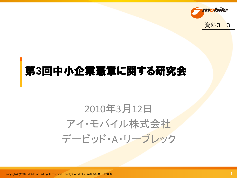

### 第**3**回中小企業憲章に関する研究会

## 2010年3月12日 アイ・モバイル株式会社 デービッド・A・リーブレック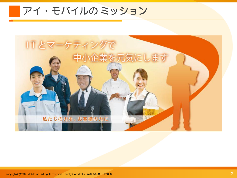アイ・モバイルの ミッション

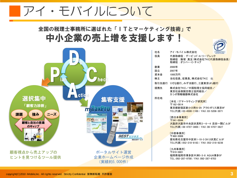### アイ・モバイルについて

#### 全国の税理士事務所に選ばれた「ITとマーケティング技術」で 中小企業の売上増を支援します!





|     | 取締役:飯塚 真玄(株式会社TKC代表取締役会長)<br>取締役:オリバー・C・チャブ                                                                |
|-----|------------------------------------------------------------------------------------------------------------|
| 創業  | 2000年                                                                                                      |
| 設立  | 2007年                                                                                                      |
| 資本金 | 1000万円                                                                                                     |
| 株主  | 当社役員、従業員、株式会社TKC 他                                                                                         |
|     | 取引先銀行 りそな銀行、みずほ銀行、三菱東京UFJ銀行                                                                                |
| 提携先 | 株式会社TKC/中国税理士協同組合/<br>東京社会保険労務士協同組合/<br>カシオ情報機器株式会社                                                        |
| 所在地 |                                                                                                            |
|     | 「本社 / ITマーケティング研究所]<br>〒162-0814<br>東京都新宿区新小川町6-29 アクロポリス東京9F<br>TEL(代表): 03-4500-1100 / FAX: 03-5206-3071 |
|     |                                                                                                            |

[西日本事業所] 〒541-0044 大阪府大阪市中央区伏見町2-6-4 吉田一閑ビル3F TEL(代表):06-4707-3800 / FAX:06-4707-3627

[中部事業所] 〒460-0008 愛知県名古屋市中区栄1-10-3 CK12伏見ビル3F TEL(代表):052-218-8183 / FAX:052-218-8236

[九州事業所] 〒810-0801 福岡県福岡市博多区中洲5-3-8 AQUA博多5F TEL:092-287-9700 / FAX:092-287-9703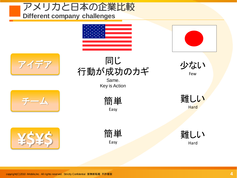

copyright(C)2010 iMobile,Inc. All rights reserved. Strictly Confidential 禁無断転載 不許複製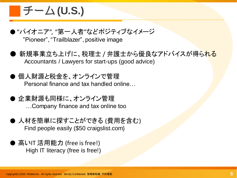### チーム **(U.S.)**

- ●"パイオニア", "第一人者"などポジティブなイメージ "Pioneer", "Trailblazer", positive image
- 新規事業立ち上げに、税理士 / 弁護士から優良なアドバイスが得られる Accountants / Lawyers for start-ups (good advice)
- 個人財源と税金を、オンラインで管理 Personal finance and tax handled online…
- 企業財源も同様に、オンライン管理 …Company finance and tax online too
- 人材を簡単に探すことができる (費用を含む) Find people easily (\$50 craigslist.com)
- 高いIT 活用能力 (free is free!) High IT literacy (free is free!)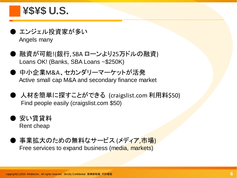### **¥\$¥\$ U.S.**

- エンジェル投資家が多い Angels many
- 融資が可能!(銀行, SBA ローンより25万ドルの融資) Loans OK! (Banks, SBA Loans ~\$250K)
- 中小企業M&A、セカンダリーマーケットが活発 Active small cap M&A and secondary finance market
- 人材を簡単に探すことができる (craigslist.com 利用料\$50) Find people easily (craigslist.com \$50)
- 安い賃貸料 Rent cheap
- 事業拡大のための無料なサービス (メディア,市場) Free services to expand business (media, markets)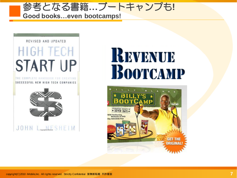



# REVENUE BOOTCAMP

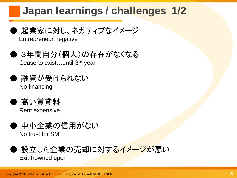### **Japan learnings / challenges 1/2**



Entrepreneur negative

● 3年間自分(個人)の存在がなくなる Cease to exist…until 3rd year

- 融資が受けられない No financing
- 高い賃貸料 Rent expensive
- 中小企業の信用がない No trust for SME
- <sup>,</sup>設立した企業の売却に対するイメージが悪い Exit frowned upon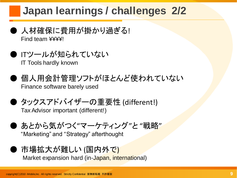### **Japan learnings / challenges 2/2**

- 人材確保に費用が掛かり過ぎる! Find team ¥¥¥¥!
- **ITツールが知られていない** IT Tools hardly known
- 個人用会計管理ソフトがほとんど使われていない Finance software barely used
- タックスアドバイザーの重要性 (different!) Tax Advisor important (different!)
- あとから気がつく"マーケティング"と "戦略" "Marketing" and "Strategy" afterthought
- 市場拡大が難しい (国内外で) Market expansion hard (in-Japan, international)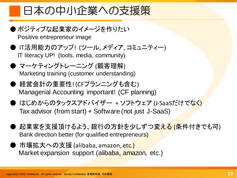### 日本の中小企業への支援策

● ポジティブな起業家のイメージを作りたい

Positive entrepreneur image

- IT活用能力のアップ! (ツール, メディア, コミュニティー) IT literacy UP! (tools, media, community)
- マーケティングトレーニング (顧客理解) Marketing training (customer understanding)
- 経営会計の重要性! (CFプランニングも含む) Managerial Accounting important! (CF planning)
- はじめからのタックスアドバイザー + ソフトウェア (J-SaaSだけでなく) Tax advisor (from start) + Software (not just J-SaaS)
- 起業家を支援頂けるよう、銀行の方針を少しずつ変える (条件付きでも可) Bank direction better (for qualified entrepreneurs)
- 市場拡大への支援 (alibaba, amazon, etc.) Market expansion support (alibaba, amazon, etc.)